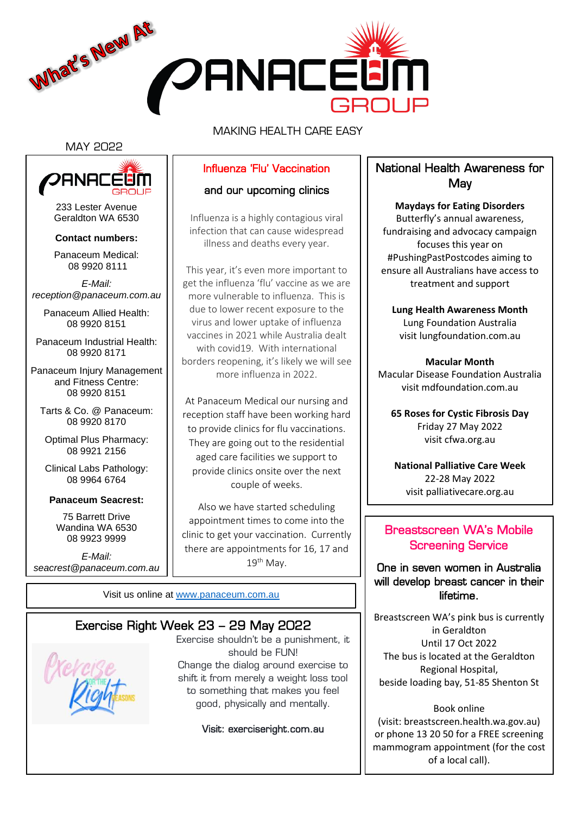

MAKING HEALTH CARE EASY

#### MAY 2022



233 Lester Avenue Geraldton WA 6530

#### **Contact numbers:**

Panaceum Medical: 08 9920 8111

*E-Mail: reception@panaceum.com.au*

Panaceum Allied Health: 08 9920 8151

Panaceum Industrial Health: 08 9920 8171

Panaceum Injury Management and Fitness Centre: 08 9920 8151

Tarts & Co. @ Panaceum: 08 9920 8170

Optimal Plus Pharmacy: 08 9921 2156

Clinical Labs Pathology: 08 9964 6764

#### **Panaceum Seacrest:**

75 Barrett Drive Wandina WA 6530 08 9923 9999

*E-Mail: seacrest@panaceum.com.au*

## Influenza 'Flu' Vaccination

## and our upcoming clinics

Influenza is a highly contagious viral infection that can cause widespread illness and deaths every year.

This year, it's even more important to get the influenza 'flu' vaccine as we are more vulnerable to influenza. This is due to lower recent exposure to the virus and lower uptake of influenza vaccines in 2021 while Australia dealt with covid19. With international borders reopening, it's likely we will see more influenza in 2022.

At Panaceum Medical our nursing and reception staff have been working hard to provide clinics for flu vaccinations. They are going out to the residential aged care facilities we support to provide clinics onsite over the next couple of weeks.

Also we have started scheduling appointment times to come into the clinic to get your vaccination. Currently there are appointments for 16, 17 and  $19<sup>th</sup>$  Mav.

Visit us online at [www.panaceum.com.au](file:///C:/Users/kirsty.vervaart/Desktop/WIP%20Kirsty/www.panaceum.com.au)

## Exercise Right Week 23 – 29 May 2022

Exercise shouldn't be a punishment, it should be FUN! Change the dialog around exercise to shift it from merely a weight loss tool to something that makes you feel good, physically and mentally.

Visit: exerciseright.com.au

## National Health Awareness for **May**

**Maydays for Eating Disorders** Butterfly's annual awareness, fundraising and advocacy campaign focuses this year on #PushingPastPostcodes aiming to ensure all Australians have access to treatment and support

**Lung Health Awareness Month** Lung Foundation Australia visit lungfoundation.com.au

**Macular Month** Macular Disease Foundation Australia visit mdfoundation.com.au

**65 Roses for Cystic Fibrosis Day** Friday 27 May 2022 visit cfwa.org.au

**National Palliative Care Week** 22-28 May 2022 visit palliativecare.org.au

## Breastscreen WA's Mobile Screening Service

## One in seven women in Australia will develop breast cancer in their lifetime.

Breastscreen WA's pink bus is currently in Geraldton Until 17 Oct 2022 The bus is located at the Geraldton Regional Hospital, beside loading bay, 51-85 Shenton St

Book online (visit: breastscreen.health.wa.gov.au) or phone 13 20 50 for a FREE screening mammogram appointment (for the cost of a local call).